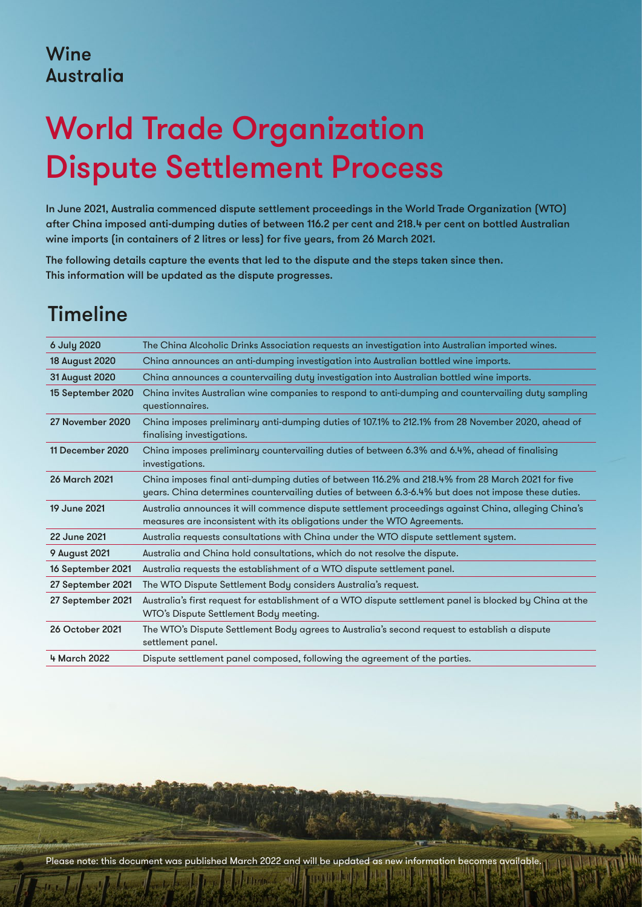#### Wine **Australia**

# World Trade Organization Dispute Settlement Process

In June 2021, Australia commenced dispute settlement proceedings in the World Trade Organization (WTO) after China imposed anti-dumping duties of between 116.2 per cent and 218.4 per cent on bottled Australian wine imports (in containers of 2 litres or less) for five years, from 26 March 2021.

The following details capture the events that led to the dispute and the steps taken since then. This information will be updated as the dispute progresses.

## Timeline

| 6 July 2020            | The China Alcoholic Drinks Association requests an investigation into Australian imported wines.                                                                                                        |
|------------------------|---------------------------------------------------------------------------------------------------------------------------------------------------------------------------------------------------------|
| <b>18 August 2020</b>  | China announces an anti-dumping investigation into Australian bottled wine imports.                                                                                                                     |
| 31 August 2020         | China announces a countervailing duty investigation into Australian bottled wine imports.                                                                                                               |
| 15 September 2020      | China invites Australian wine companies to respond to anti-dumping and countervailing duty sampling<br>questionnaires.                                                                                  |
| 27 November 2020       | China imposes preliminary anti-dumping duties of 107.1% to 212.1% from 28 November 2020, ahead of<br>finalising investigations.                                                                         |
| 11 December 2020       | China imposes preliminary countervailing duties of between 6.3% and 6.4%, ahead of finalising<br>investigations.                                                                                        |
| <b>26 March 2021</b>   | China imposes final anti-dumping duties of between 116.2% and 218.4% from 28 March 2021 for five<br>years. China determines countervailing duties of between 6.3-6.4% but does not impose these duties. |
| 19 June 2021           | Australia announces it will commence dispute settlement proceedings against China, alleging China's<br>measures are inconsistent with its obligations under the WTO Agreements.                         |
| 22 June 2021           | Australia requests consultations with China under the WTO dispute settlement system.                                                                                                                    |
| <b>9 August 2021</b>   | Australia and China hold consultations, which do not resolve the dispute.                                                                                                                               |
| 16 September 2021      | Australia requests the establishment of a WTO dispute settlement panel.                                                                                                                                 |
| 27 September 2021      | The WTO Dispute Settlement Body considers Australia's request.                                                                                                                                          |
| 27 September 2021      | Australia's first request for establishment of a WTO dispute settlement panel is blocked by China at the<br>WTO's Dispute Settlement Body meeting.                                                      |
| <b>26 October 2021</b> | The WTO's Dispute Settlement Body agrees to Australia's second request to establish a dispute<br>settlement panel.                                                                                      |
| 4 March 2022           | Dispute settlement panel composed, following the agreement of the parties.                                                                                                                              |